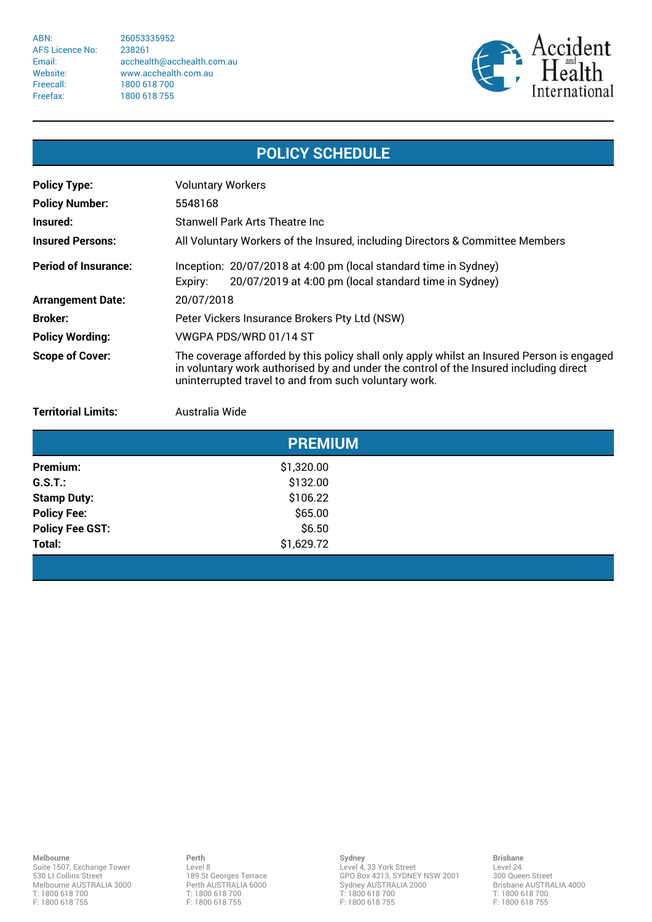ABN: 26053335952 AFS Licence No: 238261 Freecall: 1800 618 700 Freefax: 1800 618 755

Email: acchealth@acchealth.com.au Website: www.acchealth.com.au



## **POLICY SCHEDULE**

| <b>Policy Type:</b>         | <b>Voluntary Workers</b>                                                                                                                                                                                                                    |  |
|-----------------------------|---------------------------------------------------------------------------------------------------------------------------------------------------------------------------------------------------------------------------------------------|--|
| <b>Policy Number:</b>       | 5548168                                                                                                                                                                                                                                     |  |
| Insured:                    | Stanwell Park Arts Theatre Inc                                                                                                                                                                                                              |  |
| <b>Insured Persons:</b>     | All Voluntary Workers of the Insured, including Directors & Committee Members                                                                                                                                                               |  |
| <b>Period of Insurance:</b> | Inception: 20/07/2018 at 4:00 pm (local standard time in Sydney)<br>20/07/2019 at 4:00 pm (local standard time in Sydney)<br>Expiry:                                                                                                        |  |
| <b>Arrangement Date:</b>    | 20/07/2018                                                                                                                                                                                                                                  |  |
| <b>Broker:</b>              | Peter Vickers Insurance Brokers Pty Ltd (NSW)                                                                                                                                                                                               |  |
| <b>Policy Wording:</b>      | VWGPA PDS/WRD 01/14 ST                                                                                                                                                                                                                      |  |
| <b>Scope of Cover:</b>      | The coverage afforded by this policy shall only apply whilst an Insured Person is engaged<br>in voluntary work authorised by and under the control of the Insured including direct<br>uninterrupted travel to and from such voluntary work. |  |

**Territorial Limits:** Australia Wide

|                        | <b>PREMIUM</b> |  |
|------------------------|----------------|--|
| Premium:               | \$1,320.00     |  |
| $G.S.T.$ :             | \$132.00       |  |
| <b>Stamp Duty:</b>     | \$106.22       |  |
| <b>Policy Fee:</b>     | \$65.00        |  |
| <b>Policy Fee GST:</b> | \$6.50         |  |
| Total:                 | \$1,629.72     |  |
|                        |                |  |

**Perth** Level 8 189 St Georges Terrace Perth AUSTRALIA 6000 T: 1800 618 700 F: 1800 618 755

**Sydney** Level 4, 33 York Street GPO Box 4213, SYDNEY NSW 2001 Sydney AUSTRALIA 2000 T: 1800 618 700 F: 1800 618 755

**Brisbane** Level 24 300 Queen Street Brisbane AUSTRALIA 4000 T: 1800 618 700 F: 1800 618 755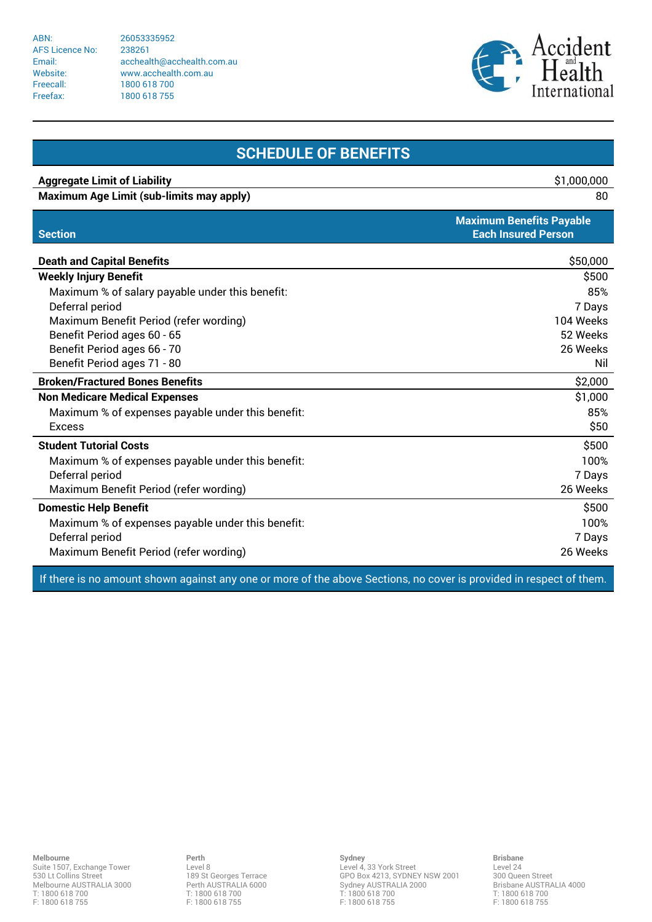ABN: 26053335952 AFS Licence No: 238261 Freecall: 1800 618 700 Freefax: 1800 618 755

Email: acchealth@acchealth.com.au Website: www.acchealth.com.au



| <b>SCHEDULE OF BENEFITS</b>                       |                                                               |  |
|---------------------------------------------------|---------------------------------------------------------------|--|
| <b>Aggregate Limit of Liability</b>               | \$1,000,000                                                   |  |
| <b>Maximum Age Limit (sub-limits may apply)</b>   | 80                                                            |  |
| <b>Section</b>                                    | <b>Maximum Benefits Payable</b><br><b>Each Insured Person</b> |  |
| <b>Death and Capital Benefits</b>                 | \$50,000                                                      |  |
| <b>Weekly Injury Benefit</b>                      | \$500                                                         |  |
| Maximum % of salary payable under this benefit:   | 85%                                                           |  |
| Deferral period                                   | 7 Days                                                        |  |
| Maximum Benefit Period (refer wording)            | 104 Weeks                                                     |  |
| Benefit Period ages 60 - 65                       | 52 Weeks                                                      |  |
| Benefit Period ages 66 - 70                       | 26 Weeks                                                      |  |
| Benefit Period ages 71 - 80                       | Nil                                                           |  |
| <b>Broken/Fractured Bones Benefits</b>            | \$2,000                                                       |  |
| <b>Non Medicare Medical Expenses</b>              | \$1,000                                                       |  |
| Maximum % of expenses payable under this benefit: | 85%                                                           |  |
| <b>Excess</b>                                     | \$50                                                          |  |
| <b>Student Tutorial Costs</b>                     | \$500                                                         |  |
| Maximum % of expenses payable under this benefit: | 100%                                                          |  |
| Deferral period                                   | 7 Days                                                        |  |
| Maximum Benefit Period (refer wording)            | 26 Weeks                                                      |  |
| <b>Domestic Help Benefit</b>                      | \$500                                                         |  |
| Maximum % of expenses payable under this benefit: | 100%                                                          |  |
| Deferral period                                   | 7 Days                                                        |  |
| Maximum Benefit Period (refer wording)            | 26 Weeks                                                      |  |

If there is no amount shown against any one or more of the above Sections, no cover is provided in respect of them.

**Melbourne** Suite 1507, Exchange Tower 530 Lt Collins Street Melbourne AUSTRALIA 3000 T: 1800 618 700 F: 1800 618 755

**Perth** Level 8 189 St Georges Terrace Perth AUSTRALIA 6000 T: 1800 618 700 F: 1800 618 755

**Sydney** Level 4, 33 York Street GPO Box 4213, SYDNEY NSW 2001 Sydney AUSTRALIA 2000 T: 1800 618 700 F: 1800 618 755

**Brisbane** Level 24 300 Queen Street Brisbane AUSTRALIA 4000 T: 1800 618 700 F: 1800 618 755